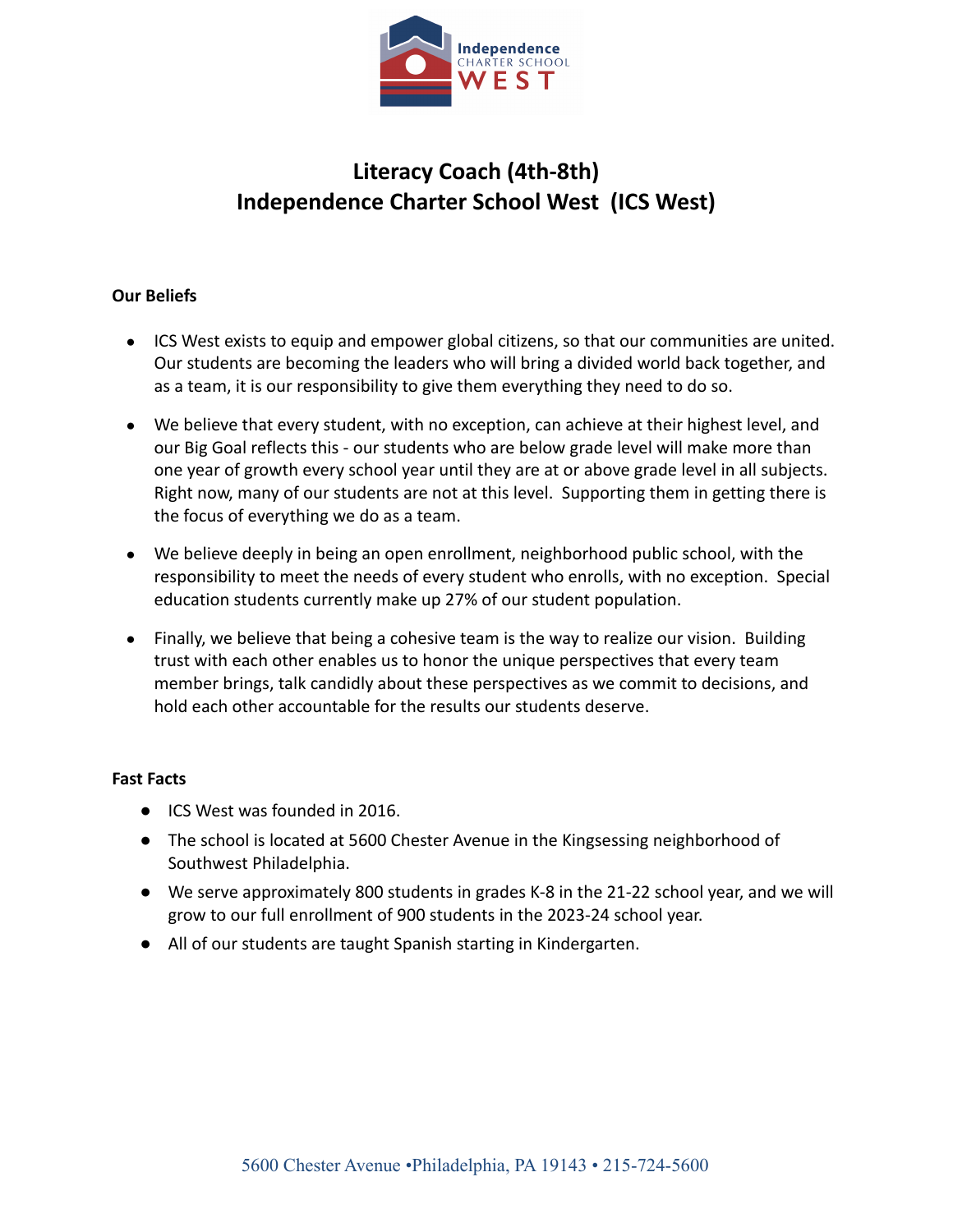

# **Literacy Coach (4th-8th) Independence Charter School West (ICS West)**

### **Our Beliefs**

- ICS West exists to equip and empower global citizens, so that our communities are united. Our students are becoming the leaders who will bring a divided world back together, and as a team, it is our responsibility to give them everything they need to do so.
- We believe that every student, with no exception, can achieve at their highest level, and our Big Goal reflects this - our students who are below grade level will make more than one year of growth every school year until they are at or above grade level in all subjects. Right now, many of our students are not at this level. Supporting them in getting there is the focus of everything we do as a team.
- We believe deeply in being an open enrollment, neighborhood public school, with the responsibility to meet the needs of every student who enrolls, with no exception. Special education students currently make up 27% of our student population.
- Finally, we believe that being a cohesive team is the way to realize our vision. Building trust with each other enables us to honor the unique perspectives that every team member brings, talk candidly about these perspectives as we commit to decisions, and hold each other accountable for the results our students deserve.

#### **Fast Facts**

- ICS West was founded in 2016.
- The school is located at 5600 Chester Avenue in the Kingsessing neighborhood of Southwest Philadelphia.
- We serve approximately 800 students in grades K-8 in the 21-22 school year, and we will grow to our full enrollment of 900 students in the 2023-24 school year.
- All of our students are taught Spanish starting in Kindergarten.